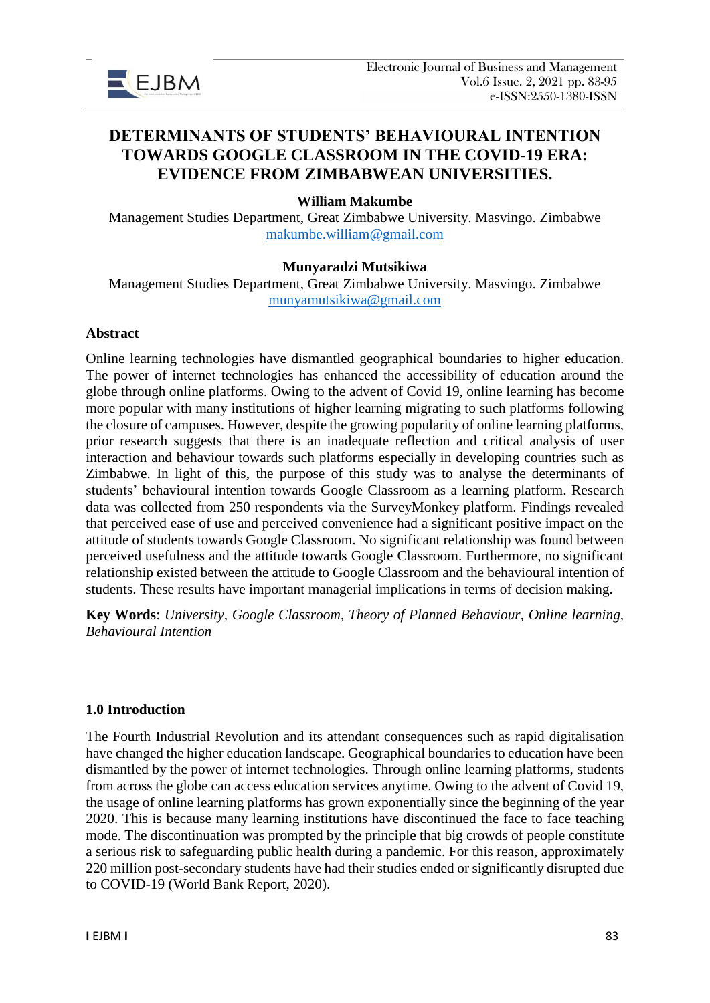

# **DETERMINANTS OF STUDENTS' BEHAVIOURAL INTENTION TOWARDS GOOGLE CLASSROOM IN THE COVID-19 ERA: EVIDENCE FROM ZIMBABWEAN UNIVERSITIES.**

## **William Makumbe**

Management Studies Department, Great Zimbabwe University. Masvingo. Zimbabwe [makumbe.william@gmail.com](mailto:makumbe.william@gmail.com)

## **Munyaradzi Mutsikiwa**

Management Studies Department, Great Zimbabwe University. Masvingo. Zimbabwe [munyamutsikiwa@gmail.com](mailto:munyamutsikiwa@gmail.com)

#### **Abstract**

Online learning technologies have dismantled geographical boundaries to higher education. The power of internet technologies has enhanced the accessibility of education around the globe through online platforms. Owing to the advent of Covid 19, online learning has become more popular with many institutions of higher learning migrating to such platforms following the closure of campuses. However, despite the growing popularity of online learning platforms, prior research suggests that there is an inadequate reflection and critical analysis of user interaction and behaviour towards such platforms especially in developing countries such as Zimbabwe. In light of this, the purpose of this study was to analyse the determinants of students' behavioural intention towards Google Classroom as a learning platform. Research data was collected from 250 respondents via the SurveyMonkey platform. Findings revealed that perceived ease of use and perceived convenience had a significant positive impact on the attitude of students towards Google Classroom. No significant relationship was found between perceived usefulness and the attitude towards Google Classroom. Furthermore, no significant relationship existed between the attitude to Google Classroom and the behavioural intention of students. These results have important managerial implications in terms of decision making.

**Key Words**: *University, Google Classroom, Theory of Planned Behaviour, Online learning, Behavioural Intention*

## **1.0 Introduction**

The Fourth Industrial Revolution and its attendant consequences such as rapid digitalisation have changed the higher education landscape. Geographical boundaries to education have been dismantled by the power of internet technologies. Through online learning platforms, students from across the globe can access education services anytime. Owing to the advent of Covid 19, the usage of online learning platforms has grown exponentially since the beginning of the year 2020. This is because many learning institutions have discontinued the face to face teaching mode. The discontinuation was prompted by the principle that big crowds of people constitute a serious risk to safeguarding public health during a pandemic. For this reason, approximately 220 million post-secondary students have had their studies ended or significantly disrupted due to COVID-19 (World Bank Report, 2020).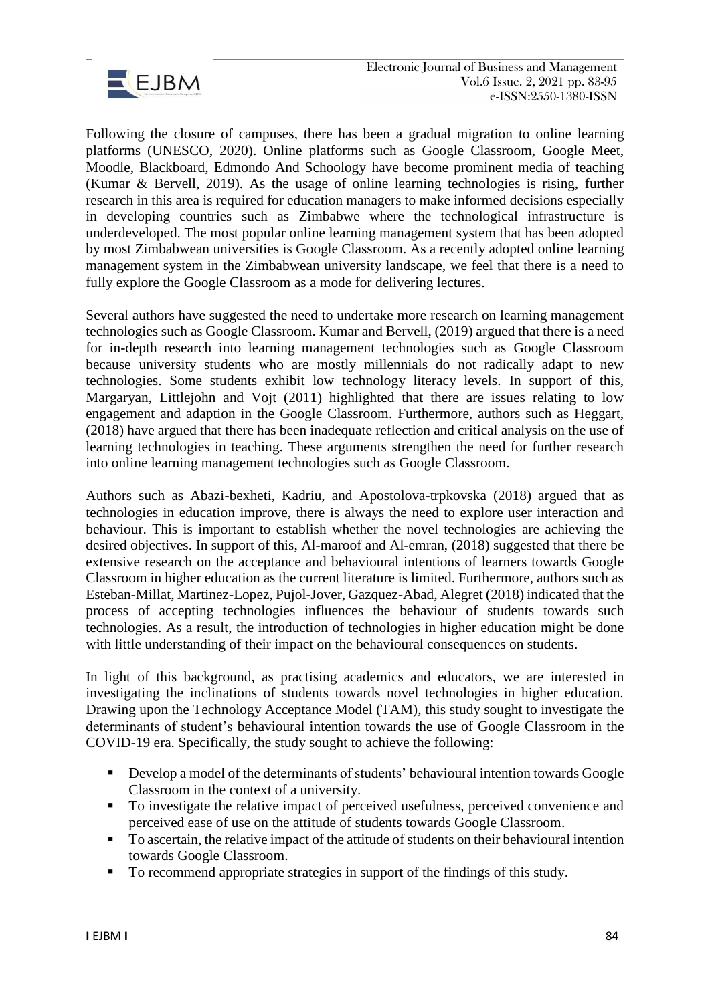

Following the closure of campuses, there has been a gradual migration to online learning platforms (UNESCO, 2020). Online platforms such as Google Classroom, Google Meet, Moodle, Blackboard, Edmondo And Schoology have become prominent media of teaching (Kumar & Bervell, 2019). As the usage of online learning technologies is rising, further research in this area is required for education managers to make informed decisions especially in developing countries such as Zimbabwe where the technological infrastructure is underdeveloped. The most popular online learning management system that has been adopted by most Zimbabwean universities is Google Classroom. As a recently adopted online learning management system in the Zimbabwean university landscape, we feel that there is a need to fully explore the Google Classroom as a mode for delivering lectures.

Several authors have suggested the need to undertake more research on learning management technologies such as Google Classroom. Kumar and Bervell, (2019) argued that there is a need for in-depth research into learning management technologies such as Google Classroom because university students who are mostly millennials do not radically adapt to new technologies. Some students exhibit low technology literacy levels. In support of this, Margaryan, Littlejohn and Vojt (2011) highlighted that there are issues relating to low engagement and adaption in the Google Classroom. Furthermore, authors such as Heggart, (2018) have argued that there has been inadequate reflection and critical analysis on the use of learning technologies in teaching. These arguments strengthen the need for further research into online learning management technologies such as Google Classroom.

Authors such as Abazi-bexheti, Kadriu, and Apostolova-trpkovska (2018) argued that as technologies in education improve, there is always the need to explore user interaction and behaviour. This is important to establish whether the novel technologies are achieving the desired objectives. In support of this, Al-maroof and Al-emran, (2018) suggested that there be extensive research on the acceptance and behavioural intentions of learners towards Google Classroom in higher education as the current literature is limited. Furthermore, authors such as Esteban-Millat, Martinez-Lopez, Pujol-Jover, Gazquez-Abad, Alegret (2018) indicated that the process of accepting technologies influences the behaviour of students towards such technologies. As a result, the introduction of technologies in higher education might be done with little understanding of their impact on the behavioural consequences on students.

In light of this background, as practising academics and educators, we are interested in investigating the inclinations of students towards novel technologies in higher education. Drawing upon the Technology Acceptance Model (TAM), this study sought to investigate the determinants of student's behavioural intention towards the use of Google Classroom in the COVID-19 era. Specifically, the study sought to achieve the following:

- Develop a model of the determinants of students' behavioural intention towards Google Classroom in the context of a university.
- To investigate the relative impact of perceived usefulness, perceived convenience and perceived ease of use on the attitude of students towards Google Classroom.
- To ascertain, the relative impact of the attitude of students on their behavioural intention towards Google Classroom.
- To recommend appropriate strategies in support of the findings of this study.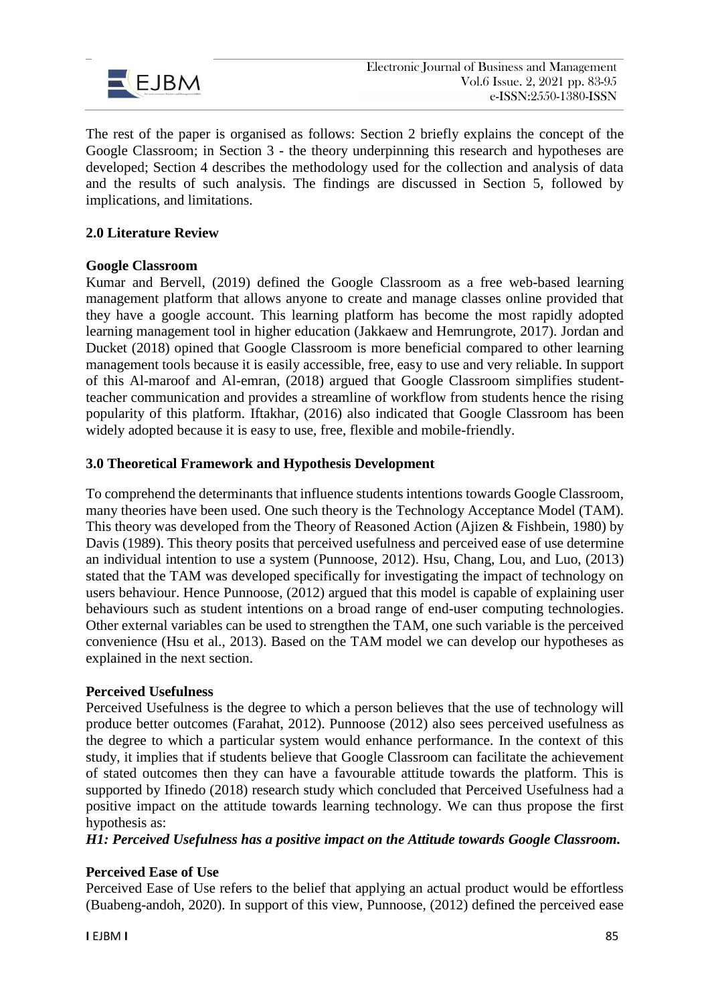

The rest of the paper is organised as follows: Section 2 briefly explains the concept of the Google Classroom; in Section 3 - the theory underpinning this research and hypotheses are developed; Section 4 describes the methodology used for the collection and analysis of data and the results of such analysis. The findings are discussed in Section 5, followed by implications, and limitations.

# **2.0 Literature Review**

## **Google Classroom**

Kumar and Bervell, (2019) defined the Google Classroom as a free web-based learning management platform that allows anyone to create and manage classes online provided that they have a google account. This learning platform has become the most rapidly adopted learning management tool in higher education (Jakkaew and Hemrungrote, 2017). Jordan and Ducket (2018) opined that Google Classroom is more beneficial compared to other learning management tools because it is easily accessible, free, easy to use and very reliable. In support of this Al-maroof and Al-emran, (2018) argued that Google Classroom simplifies studentteacher communication and provides a streamline of workflow from students hence the rising popularity of this platform. Iftakhar, (2016) also indicated that Google Classroom has been widely adopted because it is easy to use, free, flexible and mobile-friendly.

## **3.0 Theoretical Framework and Hypothesis Development**

To comprehend the determinants that influence students intentions towards Google Classroom, many theories have been used. One such theory is the Technology Acceptance Model (TAM). This theory was developed from the Theory of Reasoned Action (Ajizen & Fishbein, 1980) by Davis (1989). This theory posits that perceived usefulness and perceived ease of use determine an individual intention to use a system (Punnoose, 2012). Hsu, Chang, Lou, and Luo, (2013) stated that the TAM was developed specifically for investigating the impact of technology on users behaviour. Hence Punnoose, (2012) argued that this model is capable of explaining user behaviours such as student intentions on a broad range of end-user computing technologies. Other external variables can be used to strengthen the TAM, one such variable is the perceived convenience (Hsu et al., 2013). Based on the TAM model we can develop our hypotheses as explained in the next section.

## **Perceived Usefulness**

Perceived Usefulness is the degree to which a person believes that the use of technology will produce better outcomes (Farahat, 2012). Punnoose (2012) also sees perceived usefulness as the degree to which a particular system would enhance performance. In the context of this study, it implies that if students believe that Google Classroom can facilitate the achievement of stated outcomes then they can have a favourable attitude towards the platform. This is supported by Ifinedo (2018) research study which concluded that Perceived Usefulness had a positive impact on the attitude towards learning technology. We can thus propose the first hypothesis as:

*H1: Perceived Usefulness has a positive impact on the Attitude towards Google Classroom.*

## **Perceived Ease of Use**

Perceived Ease of Use refers to the belief that applying an actual product would be effortless (Buabeng-andoh, 2020). In support of this view, Punnoose, (2012) defined the perceived ease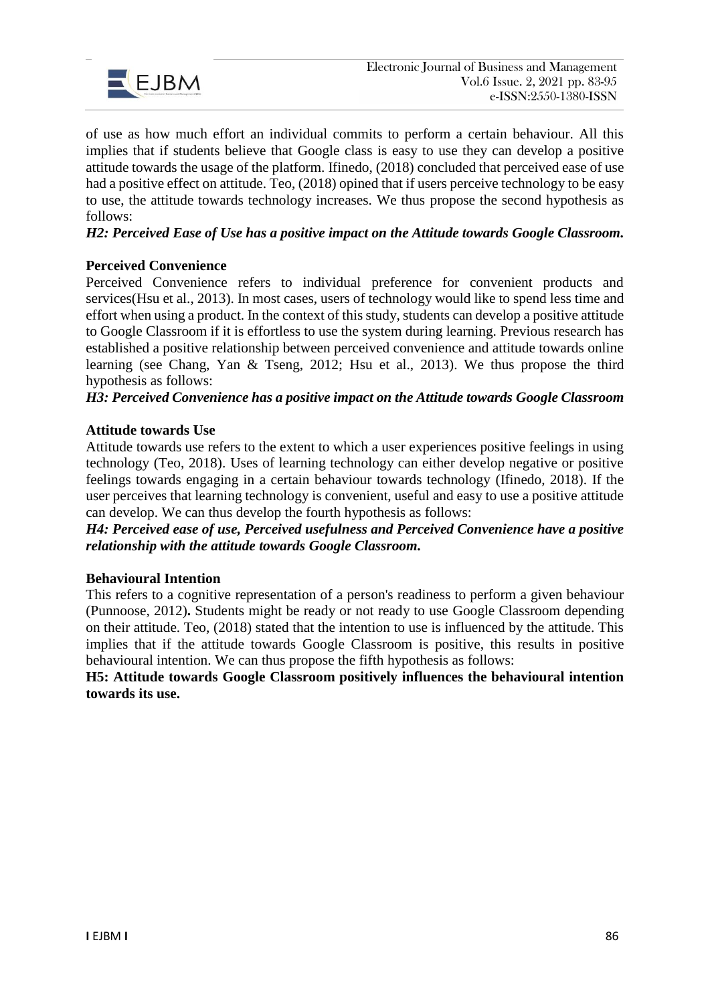

of use as how much effort an individual commits to perform a certain behaviour. All this implies that if students believe that Google class is easy to use they can develop a positive attitude towards the usage of the platform. Ifinedo, (2018) concluded that perceived ease of use had a positive effect on attitude. Teo, (2018) opined that if users perceive technology to be easy to use, the attitude towards technology increases. We thus propose the second hypothesis as follows:

# *H2: Perceived Ease of Use has a positive impact on the Attitude towards Google Classroom.*

## **Perceived Convenience**

Perceived Convenience refers to individual preference for convenient products and services(Hsu et al., 2013). In most cases, users of technology would like to spend less time and effort when using a product. In the context of this study, students can develop a positive attitude to Google Classroom if it is effortless to use the system during learning. Previous research has established a positive relationship between perceived convenience and attitude towards online learning (see Chang, Yan & Tseng, 2012; Hsu et al., 2013). We thus propose the third hypothesis as follows:

*H3: Perceived Convenience has a positive impact on the Attitude towards Google Classroom* 

## **Attitude towards Use**

Attitude towards use refers to the extent to which a user experiences positive feelings in using technology (Teo, 2018). Uses of learning technology can either develop negative or positive feelings towards engaging in a certain behaviour towards technology (Ifinedo, 2018). If the user perceives that learning technology is convenient, useful and easy to use a positive attitude can develop. We can thus develop the fourth hypothesis as follows:

*H4: Perceived ease of use, Perceived usefulness and Perceived Convenience have a positive relationship with the attitude towards Google Classroom.* 

## **Behavioural Intention**

This refers to a cognitive representation of a person's readiness to perform a given behaviour (Punnoose, 2012)**.** Students might be ready or not ready to use Google Classroom depending on their attitude. Teo, (2018) stated that the intention to use is influenced by the attitude. This implies that if the attitude towards Google Classroom is positive, this results in positive behavioural intention. We can thus propose the fifth hypothesis as follows:

**H5: Attitude towards Google Classroom positively influences the behavioural intention towards its use.**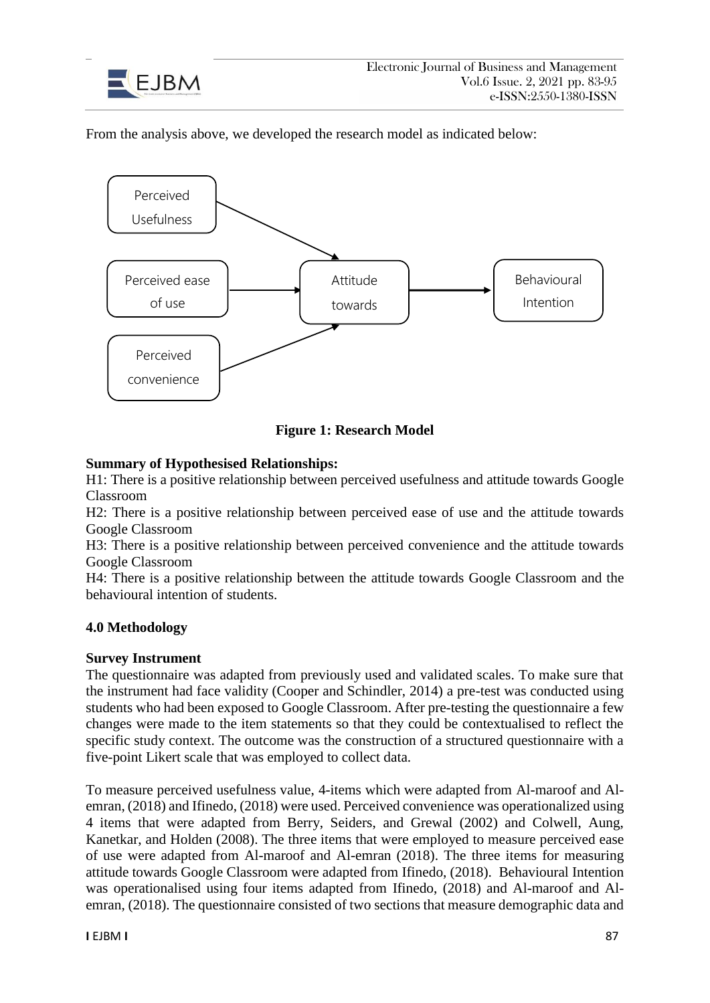

From the analysis above, we developed the research model as indicated below:



**Figure 1: Research Model**

# **Summary of Hypothesised Relationships:**

H1: There is a positive relationship between perceived usefulness and attitude towards Google Classroom

H2: There is a positive relationship between perceived ease of use and the attitude towards Google Classroom

H3: There is a positive relationship between perceived convenience and the attitude towards Google Classroom

H4: There is a positive relationship between the attitude towards Google Classroom and the behavioural intention of students.

# **4.0 Methodology**

# **Survey Instrument**

The questionnaire was adapted from previously used and validated scales. To make sure that the instrument had face validity (Cooper and Schindler, 2014) a pre-test was conducted using students who had been exposed to Google Classroom. After pre-testing the questionnaire a few changes were made to the item statements so that they could be contextualised to reflect the specific study context. The outcome was the construction of a structured questionnaire with a five-point Likert scale that was employed to collect data.

To measure perceived usefulness value, 4-items which were adapted from Al-maroof and Alemran, (2018) and Ifinedo, (2018) were used. Perceived convenience was operationalized using 4 items that were adapted from Berry, Seiders, and Grewal (2002) and Colwell, Aung, Kanetkar, and Holden (2008). The three items that were employed to measure perceived ease of use were adapted from Al-maroof and Al-emran (2018). The three items for measuring attitude towards Google Classroom were adapted from Ifinedo, (2018). Behavioural Intention was operationalised using four items adapted from Ifinedo, (2018) and Al-maroof and Alemran, (2018). The questionnaire consisted of two sections that measure demographic data and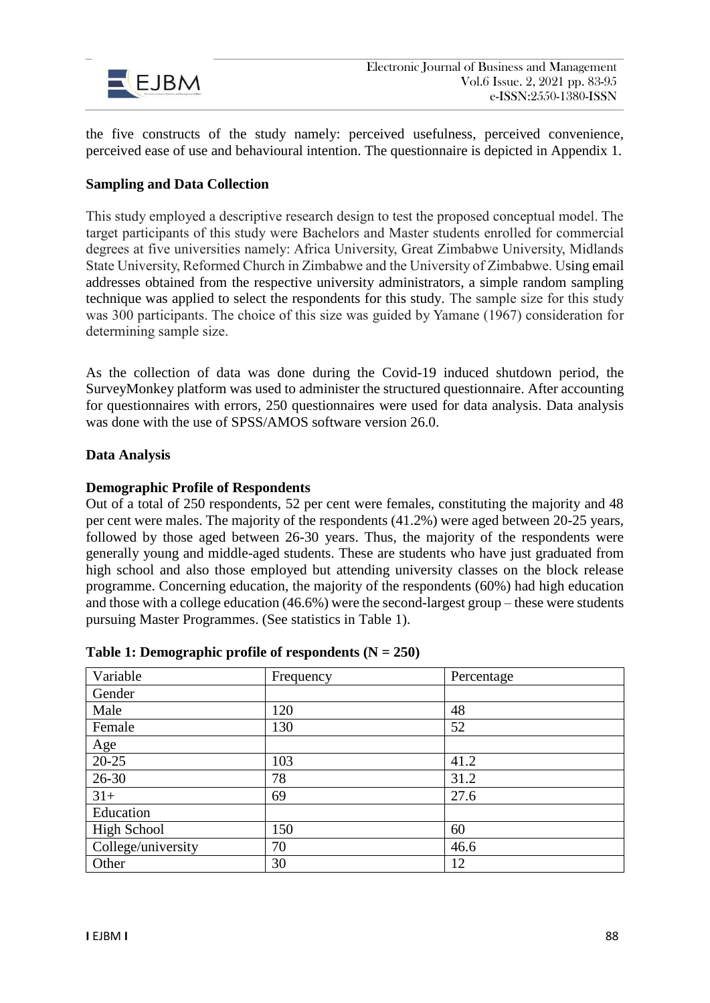

the five constructs of the study namely: perceived usefulness, perceived convenience, perceived ease of use and behavioural intention. The questionnaire is depicted in Appendix 1.

## **Sampling and Data Collection**

This study employed a descriptive research design to test the proposed conceptual model. The target participants of this study were Bachelors and Master students enrolled for commercial degrees at five universities namely: Africa University, Great Zimbabwe University, Midlands State University, Reformed Church in Zimbabwe and the University of Zimbabwe. Using email addresses obtained from the respective university administrators, a simple random sampling technique was applied to select the respondents for this study. The sample size for this study was 300 participants. The choice of this size was guided by Yamane (1967) consideration for determining sample size.

As the collection of data was done during the Covid-19 induced shutdown period, the SurveyMonkey platform was used to administer the structured questionnaire. After accounting for questionnaires with errors, 250 questionnaires were used for data analysis. Data analysis was done with the use of SPSS/AMOS software version 26.0.

## **Data Analysis**

## **Demographic Profile of Respondents**

Out of a total of 250 respondents, 52 per cent were females, constituting the majority and 48 per cent were males. The majority of the respondents (41.2%) were aged between 20-25 years, followed by those aged between 26-30 years. Thus, the majority of the respondents were generally young and middle-aged students. These are students who have just graduated from high school and also those employed but attending university classes on the block release programme. Concerning education, the majority of the respondents (60%) had high education and those with a college education (46.6%) were the second-largest group – these were students pursuing Master Programmes. (See statistics in Table 1).

| Variable                   | Frequency | Percentage |
|----------------------------|-----------|------------|
| Gender                     |           |            |
| Male                       | 120       | 48         |
| Female                     | 130       | 52         |
|                            |           |            |
| $\frac{\text{Age}}{20-25}$ | 103       | 41.2       |
| $26 - 30$                  | 78        | 31.2       |
| $31+$                      | 69        | 27.6       |
| Education                  |           |            |
| <b>High School</b>         | 150       | 60         |
| College/university         | 70        | 46.6       |
| Other                      | 30        | 12         |

## **Table 1: Demographic profile of respondents (N = 250)**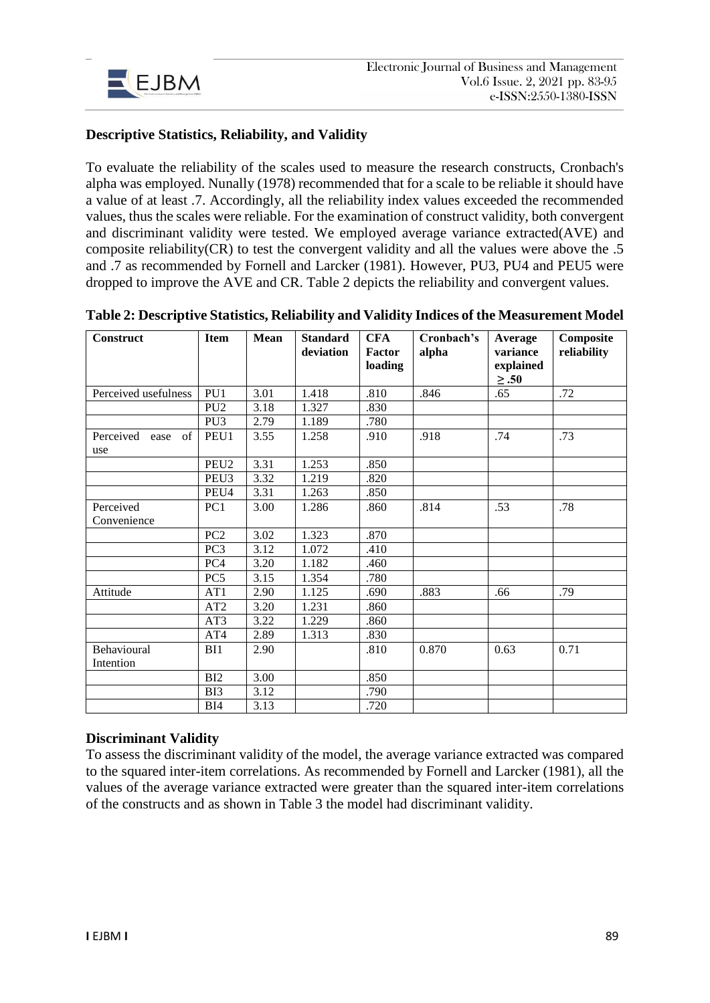

# **Descriptive Statistics, Reliability, and Validity**

To evaluate the reliability of the scales used to measure the research constructs, Cronbach's alpha was employed. Nunally (1978) recommended that for a scale to be reliable it should have a value of at least .7. Accordingly, all the reliability index values exceeded the recommended values, thus the scales were reliable. For the examination of construct validity, both convergent and discriminant validity were tested. We employed average variance extracted(AVE) and composite reliability(CR) to test the convergent validity and all the values were above the .5 and .7 as recommended by Fornell and Larcker (1981). However, PU3, PU4 and PEU5 were dropped to improve the AVE and CR. Table 2 depicts the reliability and convergent values.

| Construct                      | <b>Item</b>      | <b>Mean</b> | <b>Standard</b><br>deviation | <b>CFA</b><br>Factor<br>loading | Cronbach's<br>alpha | Average<br>variance<br>explained<br>$\geq .50$ | Composite<br>reliability |
|--------------------------------|------------------|-------------|------------------------------|---------------------------------|---------------------|------------------------------------------------|--------------------------|
| Perceived usefulness           | PU1              | 3.01        | 1.418                        | .810                            | .846                | .65                                            | .72                      |
|                                | PU <sub>2</sub>  | 3.18        | 1.327                        | .830                            |                     |                                                |                          |
|                                | PU <sub>3</sub>  | 2.79        | 1.189                        | .780                            |                     |                                                |                          |
| Perceived<br>of<br>ease<br>use | PEU1             | 3.55        | 1.258                        | .910                            | .918                | .74                                            | .73                      |
|                                | PEU <sub>2</sub> | 3.31        | 1.253                        | .850                            |                     |                                                |                          |
|                                | PEU <sub>3</sub> | 3.32        | 1.219                        | .820                            |                     |                                                |                          |
|                                | PEU4             | 3.31        | 1.263                        | .850                            |                     |                                                |                          |
| Perceived                      | PC <sub>1</sub>  | 3.00        | 1.286                        | .860                            | .814                | .53                                            | .78                      |
| Convenience                    |                  |             |                              |                                 |                     |                                                |                          |
|                                | PC <sub>2</sub>  | 3.02        | 1.323                        | .870                            |                     |                                                |                          |
|                                | PC <sub>3</sub>  | 3.12        | 1.072                        | .410                            |                     |                                                |                          |
|                                | PC <sub>4</sub>  | 3.20        | 1.182                        | .460                            |                     |                                                |                          |
|                                | PC <sub>5</sub>  | 3.15        | 1.354                        | .780                            |                     |                                                |                          |
| Attitude                       | AT1              | 2.90        | 1.125                        | .690                            | .883                | .66                                            | .79                      |
|                                | AT2              | 3.20        | 1.231                        | .860                            |                     |                                                |                          |
|                                | AT3              | 3.22        | 1.229                        | .860                            |                     |                                                |                          |
|                                | AT4              | 2.89        | 1.313                        | .830                            |                     |                                                |                          |
| Behavioural                    | BI1              | 2.90        |                              | .810                            | 0.870               | 0.63                                           | 0.71                     |
| Intention                      |                  |             |                              |                                 |                     |                                                |                          |
|                                | BI2              | 3.00        |                              | .850                            |                     |                                                |                          |
|                                | B <sub>I3</sub>  | 3.12        |                              | .790                            |                     |                                                |                          |
|                                | BI4              | 3.13        |                              | .720                            |                     |                                                |                          |

**Table 2: Descriptive Statistics, Reliability and Validity Indices of the Measurement Model**

# **Discriminant Validity**

To assess the discriminant validity of the model, the average variance extracted was compared to the squared inter-item correlations. As recommended by Fornell and Larcker (1981), all the values of the average variance extracted were greater than the squared inter-item correlations of the constructs and as shown in Table 3 the model had discriminant validity.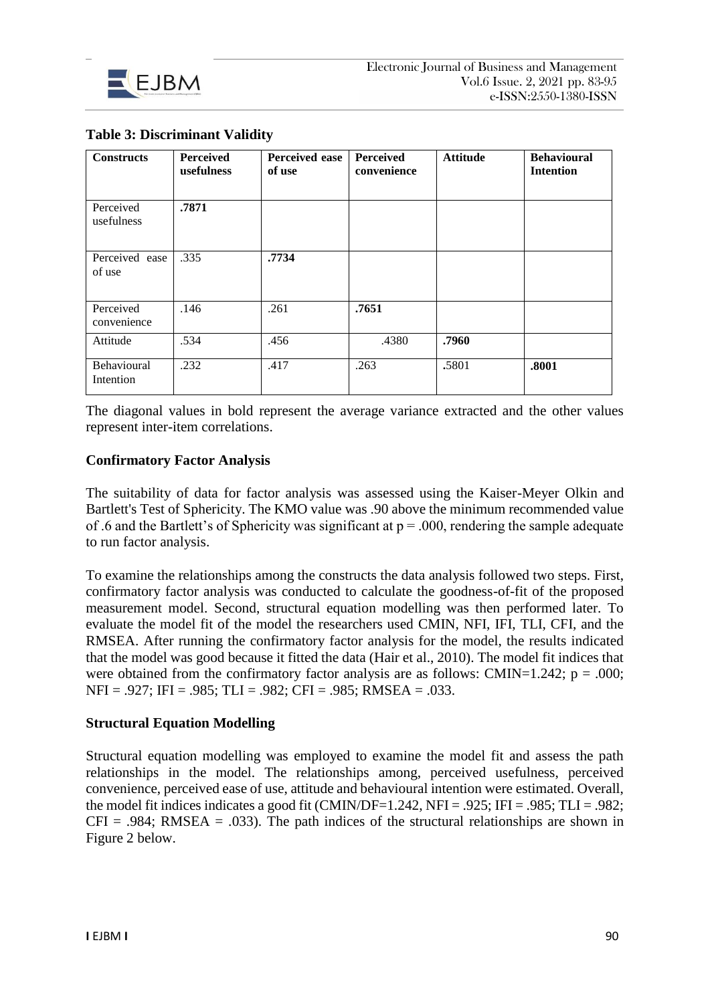

| <b>Constructs</b>        | <b>Perceived</b><br>usefulness | Perceived ease<br>of use | Perceived<br>convenience | <b>Attitude</b> | <b>Behavioural</b><br><b>Intention</b> |
|--------------------------|--------------------------------|--------------------------|--------------------------|-----------------|----------------------------------------|
| Perceived<br>usefulness  | .7871                          |                          |                          |                 |                                        |
| Perceived ease<br>of use | .335                           | .7734                    |                          |                 |                                        |
| Perceived<br>convenience | .146                           | .261                     | .7651                    |                 |                                        |
| Attitude                 | .534                           | .456                     | .4380                    | .7960           |                                        |
| Behavioural<br>Intention | .232                           | .417                     | .263                     | .5801           | .8001                                  |

## **Table 3: Discriminant Validity**

The diagonal values in bold represent the average variance extracted and the other values represent inter-item correlations.

## **Confirmatory Factor Analysis**

The suitability of data for factor analysis was assessed using the Kaiser-Meyer Olkin and Bartlett's Test of Sphericity. The KMO value was .90 above the minimum recommended value of .6 and the Bartlett's of Sphericity was significant at  $p = .000$ , rendering the sample adequate to run factor analysis.

To examine the relationships among the constructs the data analysis followed two steps. First, confirmatory factor analysis was conducted to calculate the goodness-of-fit of the proposed measurement model. Second, structural equation modelling was then performed later. To evaluate the model fit of the model the researchers used CMIN, NFI, IFI, TLI, CFI, and the RMSEA. After running the confirmatory factor analysis for the model, the results indicated that the model was good because it fitted the data (Hair et al., 2010). The model fit indices that were obtained from the confirmatory factor analysis are as follows: CMIN=1.242;  $p = .000$ ; NFI = .927; IFI = .985; TLI = .982; CFI = .985; RMSEA = .033.

## **Structural Equation Modelling**

Structural equation modelling was employed to examine the model fit and assess the path relationships in the model. The relationships among, perceived usefulness, perceived convenience, perceived ease of use, attitude and behavioural intention were estimated. Overall, the model fit indices indicates a good fit (CMIN/DF=1.242, NFI = .925; IFI = .985; TLI = .982;  $CFI = .984$ ; RMSEA = .033). The path indices of the structural relationships are shown in Figure 2 below.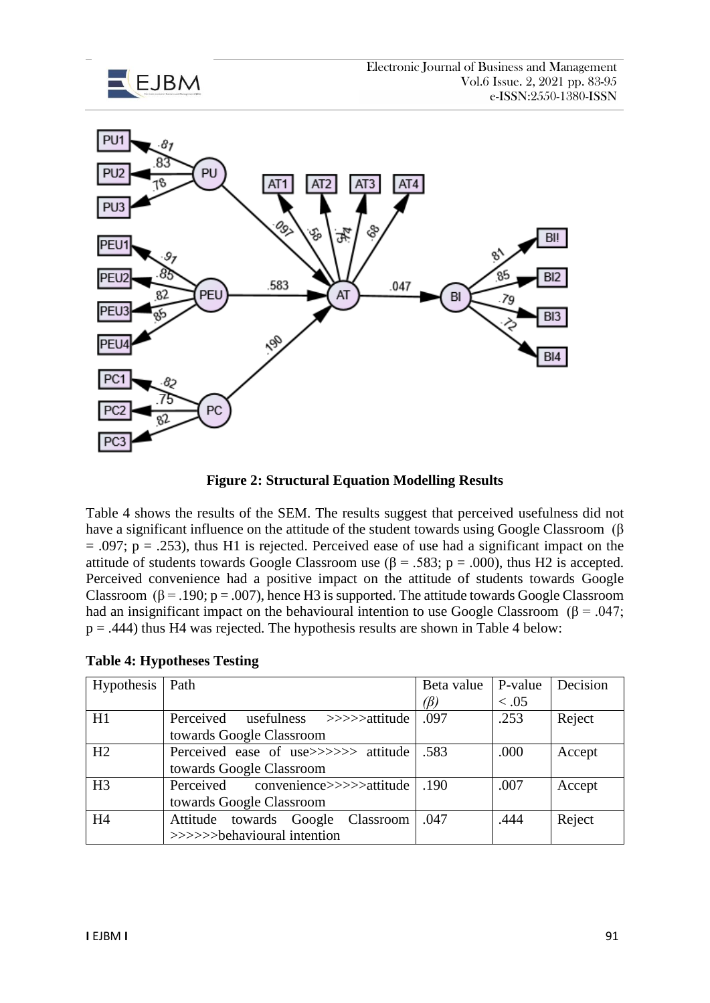



**Figure 2: Structural Equation Modelling Results**

Table 4 shows the results of the SEM. The results suggest that perceived usefulness did not have a significant influence on the attitude of the student towards using Google Classroom (β  $= .097$ ;  $p = .253$ ), thus H1 is rejected. Perceived ease of use had a significant impact on the attitude of students towards Google Classroom use ( $\beta$  = .583; p = .000), thus H2 is accepted. Perceived convenience had a positive impact on the attitude of students towards Google Classroom ( $\beta$  = .190; p = .007), hence H3 is supported. The attitude towards Google Classroom had an insignificant impact on the behavioural intention to use Google Classroom ( $\beta$  = .047;  $p = .444$ ) thus H4 was rejected. The hypothesis results are shown in Table 4 below:

| Hypothesis   Path |                                      | Beta value   P-value |        | Decision |  |
|-------------------|--------------------------------------|----------------------|--------|----------|--|
|                   |                                      | (ß)                  | < 0.05 |          |  |
| H1                | Perceived usefulness >>>>>attitude   | .097                 | .253   | Reject   |  |
|                   | towards Google Classroom             |                      |        |          |  |
| H2                | Perceived ease of use>>>>>> attitude | .583                 | .000   | Accept   |  |
|                   | towards Google Classroom             |                      |        |          |  |
| H <sub>3</sub>    | Perceived convenience>>>>>attitude   | .190                 | .007   | Accept   |  |
|                   | towards Google Classroom             |                      |        |          |  |
| H <sub>4</sub>    | Attitude towards Google Classroom    | .047                 | .444   | Reject   |  |
|                   | >>>>>>behavioural intention          |                      |        |          |  |

## **Table 4: Hypotheses Testing**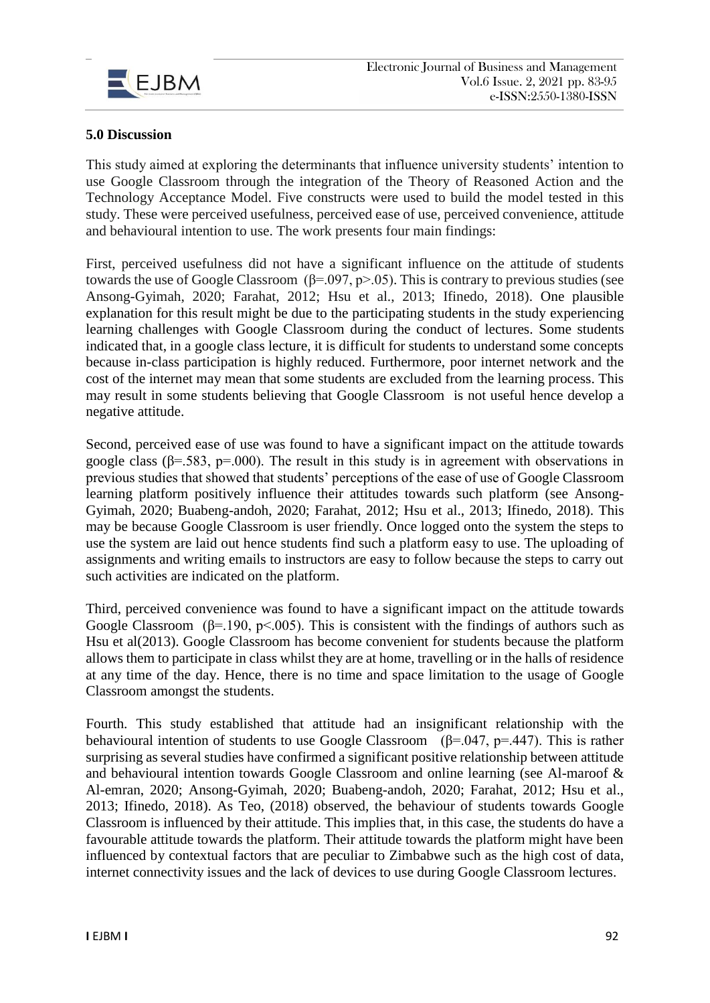

## **5.0 Discussion**

This study aimed at exploring the determinants that influence university students' intention to use Google Classroom through the integration of the Theory of Reasoned Action and the Technology Acceptance Model. Five constructs were used to build the model tested in this study. These were perceived usefulness, perceived ease of use, perceived convenience, attitude and behavioural intention to use. The work presents four main findings:

First, perceived usefulness did not have a significant influence on the attitude of students towards the use of Google Classroom ( $\beta$ =.097, p>.05). This is contrary to previous studies (see Ansong-Gyimah, 2020; Farahat, 2012; Hsu et al., 2013; Ifinedo, 2018). One plausible explanation for this result might be due to the participating students in the study experiencing learning challenges with Google Classroom during the conduct of lectures. Some students indicated that, in a google class lecture, it is difficult for students to understand some concepts because in-class participation is highly reduced. Furthermore, poor internet network and the cost of the internet may mean that some students are excluded from the learning process. This may result in some students believing that Google Classroom is not useful hence develop a negative attitude.

Second, perceived ease of use was found to have a significant impact on the attitude towards google class ( $\beta$ =.583, p=.000). The result in this study is in agreement with observations in previous studies that showed that students' perceptions of the ease of use of Google Classroom learning platform positively influence their attitudes towards such platform (see Ansong-Gyimah, 2020; Buabeng-andoh, 2020; Farahat, 2012; Hsu et al., 2013; Ifinedo, 2018). This may be because Google Classroom is user friendly. Once logged onto the system the steps to use the system are laid out hence students find such a platform easy to use. The uploading of assignments and writing emails to instructors are easy to follow because the steps to carry out such activities are indicated on the platform.

Third, perceived convenience was found to have a significant impact on the attitude towards Google Classroom ( $\beta$ =.190, p<.005). This is consistent with the findings of authors such as Hsu et al(2013). Google Classroom has become convenient for students because the platform allows them to participate in class whilst they are at home, travelling or in the halls of residence at any time of the day. Hence, there is no time and space limitation to the usage of Google Classroom amongst the students.

Fourth. This study established that attitude had an insignificant relationship with the behavioural intention of students to use Google Classroom ( $\beta$ =.047, p=.447). This is rather surprising as several studies have confirmed a significant positive relationship between attitude and behavioural intention towards Google Classroom and online learning (see Al-maroof & Al-emran, 2020; Ansong-Gyimah, 2020; Buabeng-andoh, 2020; Farahat, 2012; Hsu et al., 2013; Ifinedo, 2018). As Teo, (2018) observed, the behaviour of students towards Google Classroom is influenced by their attitude. This implies that, in this case, the students do have a favourable attitude towards the platform. Their attitude towards the platform might have been influenced by contextual factors that are peculiar to Zimbabwe such as the high cost of data, internet connectivity issues and the lack of devices to use during Google Classroom lectures.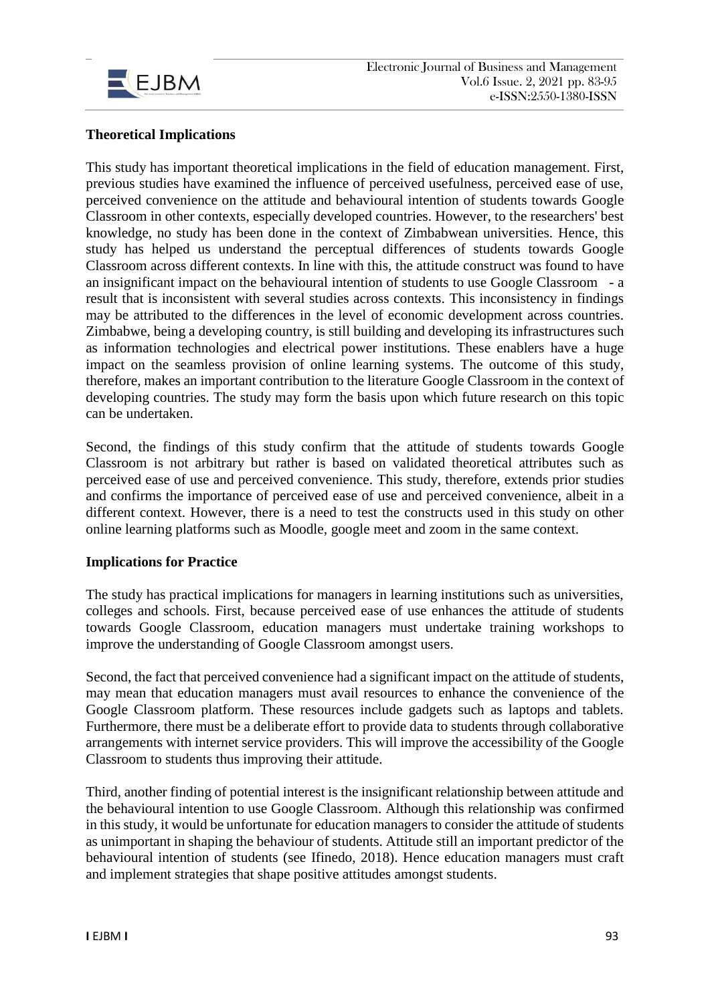

# **Theoretical Implications**

This study has important theoretical implications in the field of education management. First, previous studies have examined the influence of perceived usefulness, perceived ease of use, perceived convenience on the attitude and behavioural intention of students towards Google Classroom in other contexts, especially developed countries. However, to the researchers' best knowledge, no study has been done in the context of Zimbabwean universities. Hence, this study has helped us understand the perceptual differences of students towards Google Classroom across different contexts. In line with this, the attitude construct was found to have an insignificant impact on the behavioural intention of students to use Google Classroom - a result that is inconsistent with several studies across contexts. This inconsistency in findings may be attributed to the differences in the level of economic development across countries. Zimbabwe, being a developing country, is still building and developing its infrastructures such as information technologies and electrical power institutions. These enablers have a huge impact on the seamless provision of online learning systems. The outcome of this study, therefore, makes an important contribution to the literature Google Classroom in the context of developing countries. The study may form the basis upon which future research on this topic can be undertaken.

Second, the findings of this study confirm that the attitude of students towards Google Classroom is not arbitrary but rather is based on validated theoretical attributes such as perceived ease of use and perceived convenience. This study, therefore, extends prior studies and confirms the importance of perceived ease of use and perceived convenience, albeit in a different context. However, there is a need to test the constructs used in this study on other online learning platforms such as Moodle, google meet and zoom in the same context.

# **Implications for Practice**

The study has practical implications for managers in learning institutions such as universities, colleges and schools. First, because perceived ease of use enhances the attitude of students towards Google Classroom, education managers must undertake training workshops to improve the understanding of Google Classroom amongst users.

Second, the fact that perceived convenience had a significant impact on the attitude of students, may mean that education managers must avail resources to enhance the convenience of the Google Classroom platform. These resources include gadgets such as laptops and tablets. Furthermore, there must be a deliberate effort to provide data to students through collaborative arrangements with internet service providers. This will improve the accessibility of the Google Classroom to students thus improving their attitude.

Third, another finding of potential interest is the insignificant relationship between attitude and the behavioural intention to use Google Classroom. Although this relationship was confirmed in this study, it would be unfortunate for education managers to consider the attitude of students as unimportant in shaping the behaviour of students. Attitude still an important predictor of the behavioural intention of students (see Ifinedo, 2018). Hence education managers must craft and implement strategies that shape positive attitudes amongst students.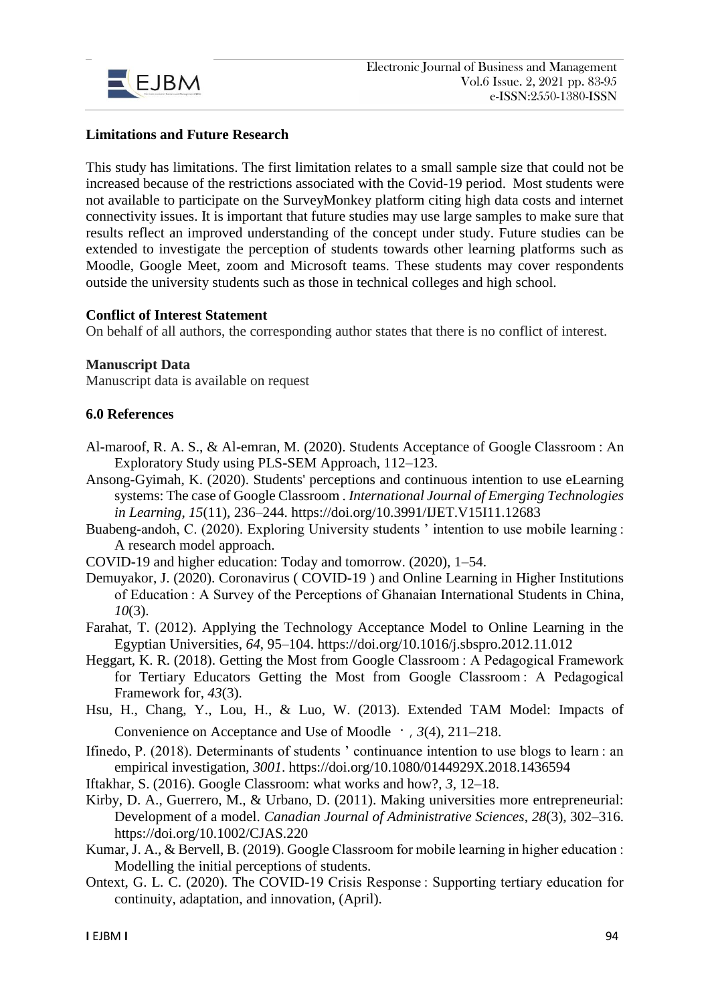

# **Limitations and Future Research**

This study has limitations. The first limitation relates to a small sample size that could not be increased because of the restrictions associated with the Covid-19 period. Most students were not available to participate on the SurveyMonkey platform citing high data costs and internet connectivity issues. It is important that future studies may use large samples to make sure that results reflect an improved understanding of the concept under study. Future studies can be extended to investigate the perception of students towards other learning platforms such as Moodle, Google Meet, zoom and Microsoft teams. These students may cover respondents outside the university students such as those in technical colleges and high school.

## **Conflict of Interest Statement**

On behalf of all authors, the corresponding author states that there is no conflict of interest.

#### **Manuscript Data**

Manuscript data is available on request

## **6.0 References**

- Al-maroof, R. A. S., & Al-emran, M. (2020). Students Acceptance of Google Classroom : An Exploratory Study using PLS-SEM Approach, 112–123.
- Ansong-Gyimah, K. (2020). Students' perceptions and continuous intention to use eLearning systems: The case of Google Classroom . *International Journal of Emerging Technologies in Learning*, *15*(11), 236–244. https://doi.org/10.3991/IJET.V15I11.12683
- Buabeng-andoh, C. (2020). Exploring University students ' intention to use mobile learning : A research model approach.
- COVID-19 and higher education: Today and tomorrow. (2020), 1–54.
- Demuyakor, J. (2020). Coronavirus ( COVID-19 ) and Online Learning in Higher Institutions of Education : A Survey of the Perceptions of Ghanaian International Students in China, *10*(3).
- Farahat, T. (2012). Applying the Technology Acceptance Model to Online Learning in the Egyptian Universities, *64*, 95–104. https://doi.org/10.1016/j.sbspro.2012.11.012
- Heggart, K. R. (2018). Getting the Most from Google Classroom : A Pedagogical Framework for Tertiary Educators Getting the Most from Google Classroom : A Pedagogical Framework for, *43*(3).
- Hsu, H., Chang, Y., Lou, H., & Luo, W. (2013). Extended TAM Model: Impacts of Convenience on Acceptance and Use of Moodle  $\cdot$ , 3(4), 211–218.
- Ifinedo, P. (2018). Determinants of students ' continuance intention to use blogs to learn : an empirical investigation, *3001*. https://doi.org/10.1080/0144929X.2018.1436594
- Iftakhar, S. (2016). Google Classroom: what works and how?, *3*, 12–18.
- Kirby, D. A., Guerrero, M., & Urbano, D. (2011). Making universities more entrepreneurial: Development of a model. *Canadian Journal of Administrative Sciences*, *28*(3), 302–316. https://doi.org/10.1002/CJAS.220
- Kumar, J. A., & Bervell, B. (2019). Google Classroom for mobile learning in higher education : Modelling the initial perceptions of students.
- Ontext, G. L. C. (2020). The COVID-19 Crisis Response : Supporting tertiary education for continuity, adaptation, and innovation, (April).